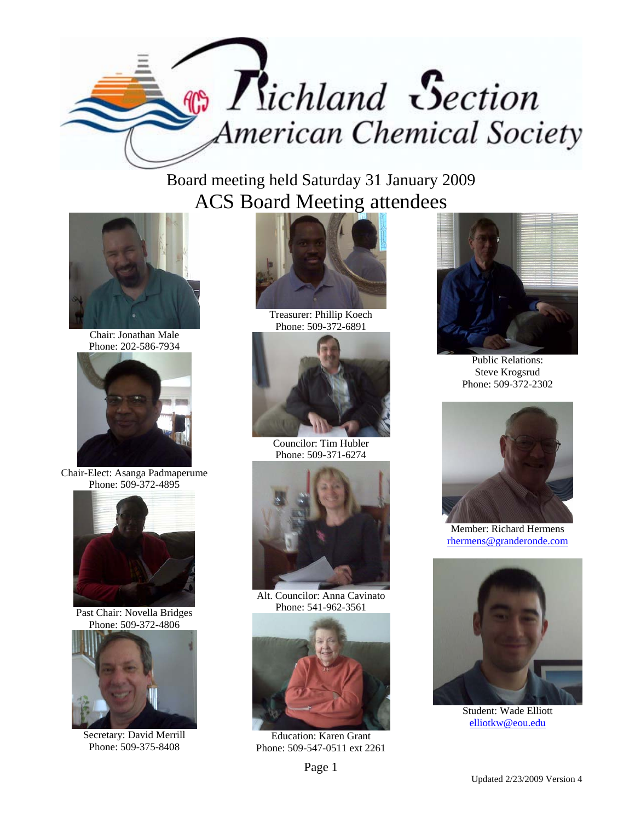

Board meeting held Saturday 31 January 2009 ACS Board Meeting attendees



Chair: Jonathan Male Phone: 202-586-7934



Chair-Elect: Asanga Padmaperume Phone: 509-372-4895



Past Chair: Novella Bridges Phone: 509-372-4806



Secretary: David Merrill Phone: 509-375-8408



Treasurer: Phillip Koech Phone: 509-372-6891



Councilor: Tim Hubler Phone: 509-371-6274



Alt. Councilor: Anna Cavinato Phone: 541-962-3561



Education: Karen Grant Phone: 509-547-0511 ext 2261



Public Relations: Steve Krogsrud Phone: 509-372-2302



Member: Richard Hermens rhermens@granderonde.com



Student: Wade Elliott elliotkw@eou.edu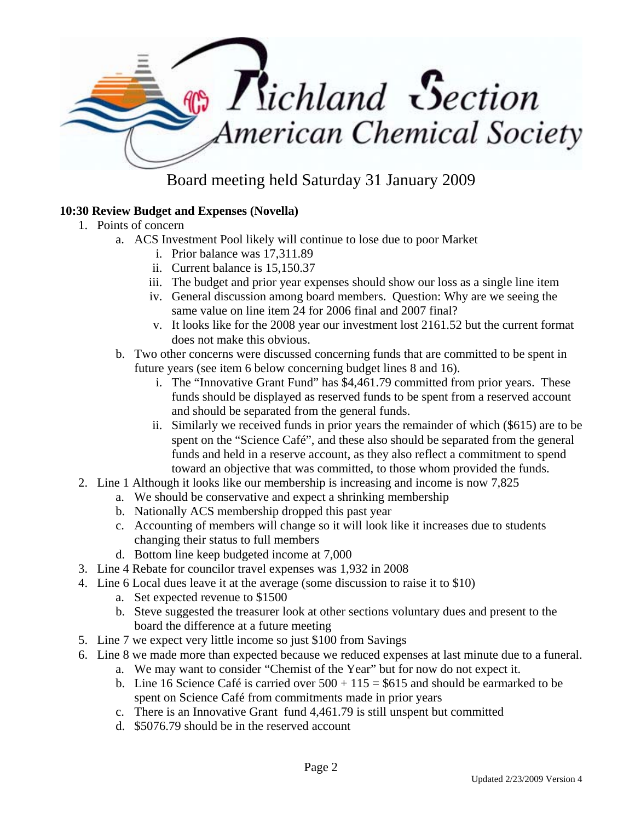

### **10:30 Review Budget and Expenses (Novella)**

- 1. Points of concern
	- a. ACS Investment Pool likely will continue to lose due to poor Market
		- i. Prior balance was 17,311.89
		- ii. Current balance is 15,150.37
		- iii. The budget and prior year expenses should show our loss as a single line item
		- iv. General discussion among board members. Question: Why are we seeing the same value on line item 24 for 2006 final and 2007 final?
		- v. It looks like for the 2008 year our investment lost 2161.52 but the current format does not make this obvious.
	- b. Two other concerns were discussed concerning funds that are committed to be spent in future years (see item 6 below concerning budget lines 8 and 16).
		- i. The "Innovative Grant Fund" has \$4,461.79 committed from prior years. These funds should be displayed as reserved funds to be spent from a reserved account and should be separated from the general funds.
		- ii. Similarly we received funds in prior years the remainder of which (\$615) are to be spent on the "Science Café", and these also should be separated from the general funds and held in a reserve account, as they also reflect a commitment to spend toward an objective that was committed, to those whom provided the funds.
- 2. Line 1 Although it looks like our membership is increasing and income is now 7,825
	- a. We should be conservative and expect a shrinking membership
	- b. Nationally ACS membership dropped this past year
	- c. Accounting of members will change so it will look like it increases due to students changing their status to full members
	- d. Bottom line keep budgeted income at 7,000
- 3. Line 4 Rebate for councilor travel expenses was 1,932 in 2008
- 4. Line 6 Local dues leave it at the average (some discussion to raise it to \$10)
	- a. Set expected revenue to \$1500
	- b. Steve suggested the treasurer look at other sections voluntary dues and present to the board the difference at a future meeting
- 5. Line 7 we expect very little income so just \$100 from Savings
- 6. Line 8 we made more than expected because we reduced expenses at last minute due to a funeral.
	- a. We may want to consider "Chemist of the Year" but for now do not expect it.
	- b. Line 16 Science Café is carried over  $500 + 115 = $615$  and should be earmarked to be spent on Science Café from commitments made in prior years
	- c. There is an Innovative Grant fund 4,461.79 is still unspent but committed
	- d. \$5076.79 should be in the reserved account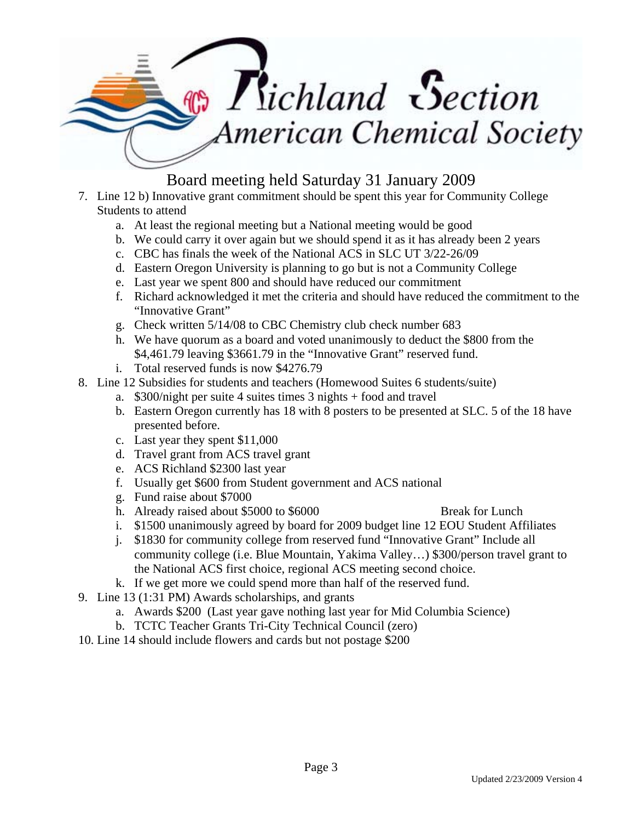

- 7. Line 12 b) Innovative grant commitment should be spent this year for Community College Students to attend
	- a. At least the regional meeting but a National meeting would be good
	- b. We could carry it over again but we should spend it as it has already been 2 years
	- c. CBC has finals the week of the National ACS in SLC UT 3/22-26/09
	- d. Eastern Oregon University is planning to go but is not a Community College
	- e. Last year we spent 800 and should have reduced our commitment
	- f. Richard acknowledged it met the criteria and should have reduced the commitment to the "Innovative Grant"
	- g. Check written 5/14/08 to CBC Chemistry club check number 683
	- h. We have quorum as a board and voted unanimously to deduct the \$800 from the \$4,461.79 leaving \$3661.79 in the "Innovative Grant" reserved fund.
	- i. Total reserved funds is now \$4276.79
- 8. Line 12 Subsidies for students and teachers (Homewood Suites 6 students/suite)
	- a. \$300/night per suite 4 suites times 3 nights + food and travel
	- b. Eastern Oregon currently has 18 with 8 posters to be presented at SLC. 5 of the 18 have presented before.
	- c. Last year they spent \$11,000
	- d. Travel grant from ACS travel grant
	- e. ACS Richland \$2300 last year
	- f. Usually get \$600 from Student government and ACS national
	- g. Fund raise about \$7000
	- h. Already raised about \$5000 to \$6000 Break for Lunch
	- i. \$1500 unanimously agreed by board for 2009 budget line 12 EOU Student Affiliates
	- j. \$1830 for community college from reserved fund "Innovative Grant" Include all community college (i.e. Blue Mountain, Yakima Valley…) \$300/person travel grant to the National ACS first choice, regional ACS meeting second choice.
	- k. If we get more we could spend more than half of the reserved fund.
- 9. Line 13 (1:31 PM) Awards scholarships, and grants
	- a. Awards \$200 (Last year gave nothing last year for Mid Columbia Science)
		- b. TCTC Teacher Grants Tri-City Technical Council (zero)
- 10. Line 14 should include flowers and cards but not postage \$200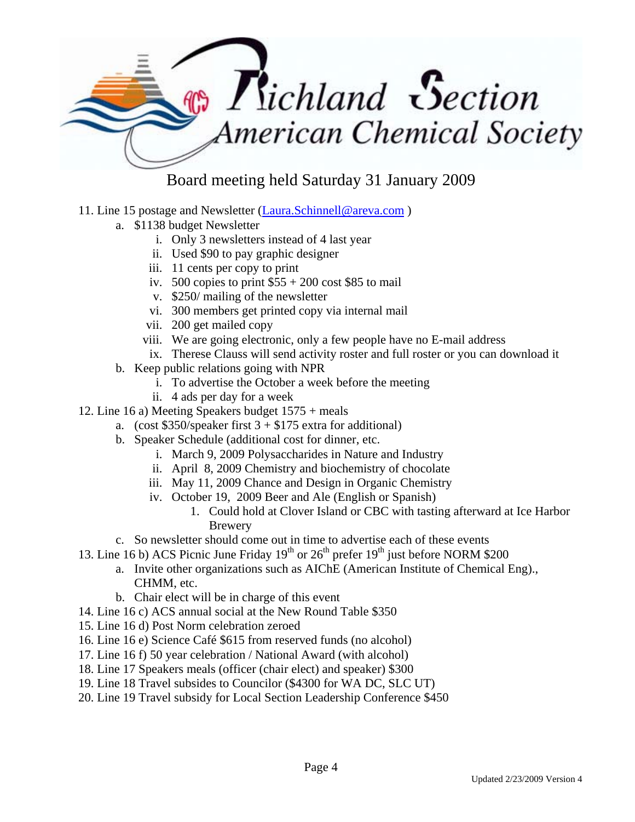

- 11. Line 15 postage and Newsletter (Laura.Schinnell@areva.com )
	- a. \$1138 budget Newsletter
		- i. Only 3 newsletters instead of 4 last year
		- ii. Used \$90 to pay graphic designer
		- iii. 11 cents per copy to print
		- iv. 500 copies to print  $$55 + 200 \cos 100$  to mail
		- v. \$250/ mailing of the newsletter
		- vi. 300 members get printed copy via internal mail
		- vii. 200 get mailed copy
		- viii. We are going electronic, only a few people have no E-mail address
		- ix. Therese Clauss will send activity roster and full roster or you can download it
	- b. Keep public relations going with NPR
		- i. To advertise the October a week before the meeting
		- ii. 4 ads per day for a week
- 12. Line 16 a) Meeting Speakers budget 1575 + meals
	- a. (cost \$350/speaker first  $3 + $175$  extra for additional)
	- b. Speaker Schedule (additional cost for dinner, etc.
		- i. March 9, 2009 Polysaccharides in Nature and Industry
		- ii. April 8, 2009 Chemistry and biochemistry of chocolate
		- iii. May 11, 2009 Chance and Design in Organic Chemistry
		- iv. October 19, 2009 Beer and Ale (English or Spanish)
			- 1. Could hold at Clover Island or CBC with tasting afterward at Ice Harbor Brewery
	- c. So newsletter should come out in time to advertise each of these events
- 13. Line 16 b) ACS Picnic June Friday  $19<sup>th</sup>$  or  $26<sup>th</sup>$  prefer  $19<sup>th</sup>$  just before NORM \$200
	- a. Invite other organizations such as AIChE (American Institute of Chemical Eng)., CHMM, etc.
	- b. Chair elect will be in charge of this event
- 14. Line 16 c) ACS annual social at the New Round Table \$350
- 15. Line 16 d) Post Norm celebration zeroed
- 16. Line 16 e) Science Café \$615 from reserved funds (no alcohol)
- 17. Line 16 f) 50 year celebration / National Award (with alcohol)
- 18. Line 17 Speakers meals (officer (chair elect) and speaker) \$300
- 19. Line 18 Travel subsides to Councilor (\$4300 for WA DC, SLC UT)
- 20. Line 19 Travel subsidy for Local Section Leadership Conference \$450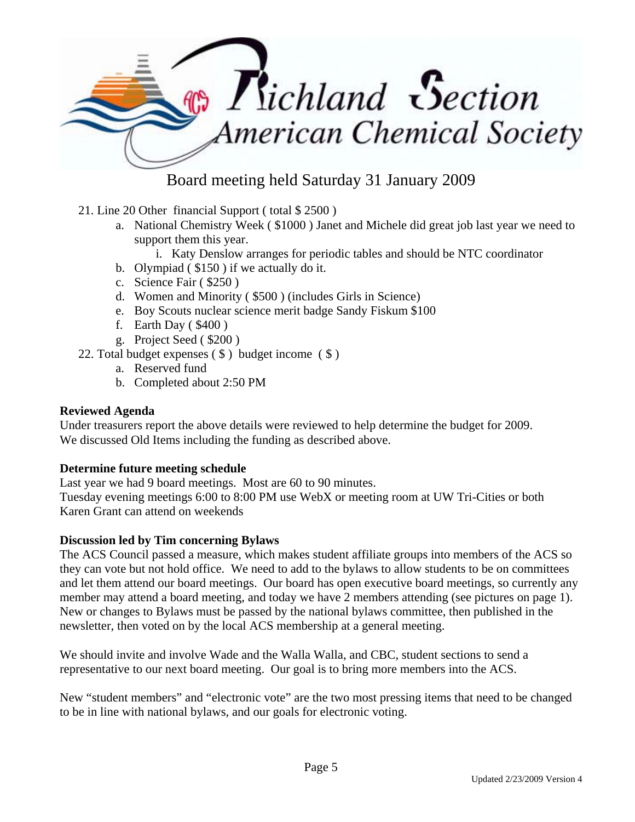

- 21. Line 20 Other financial Support ( total \$ 2500 )
	- a. National Chemistry Week ( \$1000 ) Janet and Michele did great job last year we need to support them this year.
		- i. Katy Denslow arranges for periodic tables and should be NTC coordinator
	- b. Olympiad ( \$150 ) if we actually do it.
	- c. Science Fair ( \$250 )
	- d. Women and Minority ( \$500 ) (includes Girls in Science)
	- e. Boy Scouts nuclear science merit badge Sandy Fiskum \$100
	- f. Earth Day ( \$400 )
	- g. Project Seed ( \$200 )
- 22. Total budget expenses ( \$ ) budget income ( \$ )
	- a. Reserved fund
	- b. Completed about 2:50 PM

#### **Reviewed Agenda**

Under treasurers report the above details were reviewed to help determine the budget for 2009. We discussed Old Items including the funding as described above.

### **Determine future meeting schedule**

Last year we had 9 board meetings. Most are 60 to 90 minutes.

Tuesday evening meetings 6:00 to 8:00 PM use WebX or meeting room at UW Tri-Cities or both Karen Grant can attend on weekends

### **Discussion led by Tim concerning Bylaws**

The ACS Council passed a measure, which makes student affiliate groups into members of the ACS so they can vote but not hold office. We need to add to the bylaws to allow students to be on committees and let them attend our board meetings. Our board has open executive board meetings, so currently any member may attend a board meeting, and today we have 2 members attending (see pictures on page 1). New or changes to Bylaws must be passed by the national bylaws committee, then published in the newsletter, then voted on by the local ACS membership at a general meeting.

We should invite and involve Wade and the Walla Walla, and CBC, student sections to send a representative to our next board meeting. Our goal is to bring more members into the ACS.

New "student members" and "electronic vote" are the two most pressing items that need to be changed to be in line with national bylaws, and our goals for electronic voting.